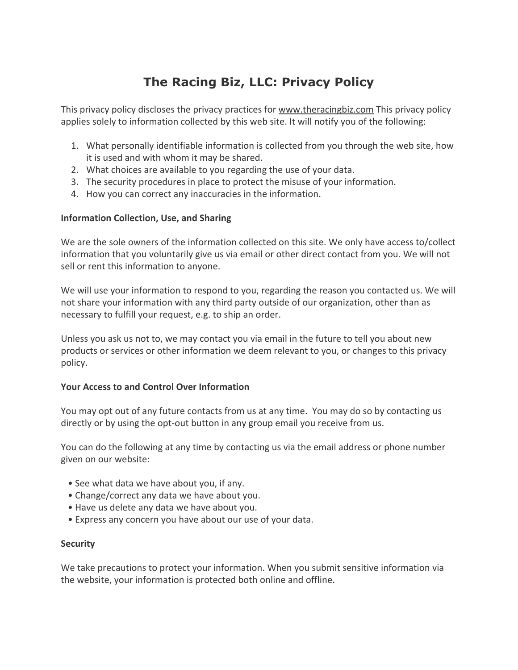# **The Racing Biz, LLC: Privacy Policy**

This privacy policy discloses the privacy practices for www.theracingbiz.com This privacy policy applies solely to information collected by this web site. It will notify you of the following:

- 1. What personally identifiable information is collected from you through the web site, how it is used and with whom it may be shared.
- 2. What choices are available to you regarding the use of your data.
- 3. The security procedures in place to protect the misuse of your information.
- 4. How you can correct any inaccuracies in the information.

# **Information Collection, Use, and Sharing**

We are the sole owners of the information collected on this site. We only have access to/collect information that you voluntarily give us via email or other direct contact from you. We will not sell or rent this information to anyone.

We will use your information to respond to you, regarding the reason you contacted us. We will not share your information with any third party outside of our organization, other than as necessary to fulfill your request, e.g. to ship an order.

Unless you ask us not to, we may contact you via email in the future to tell you about new products or services or other information we deem relevant to you, or changes to this privacy policy.

# **Your Access to and Control Over Information**

You may opt out of any future contacts from us at any time. You may do so by contacting us directly or by using the opt-out button in any group email you receive from us.

You can do the following at any time by contacting us via the email address or phone number given on our website:

- See what data we have about you, if any.
- Change/correct any data we have about you.
- Have us delete any data we have about you.
- Express any concern you have about our use of your data.

# **Security**

We take precautions to protect your information. When you submit sensitive information via the website, your information is protected both online and offline.